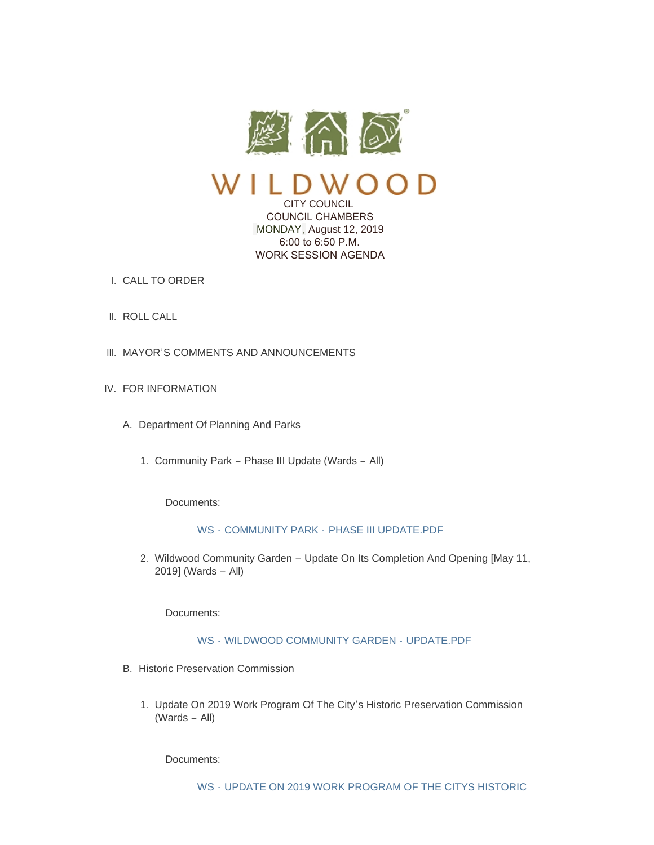

# CITY COUNCIL COUNCIL CHAMBERS MONDAY, August 12, 2019 6:00 to 6:50 P.M. WORK SESSION AGENDA

- CALL TO ORDER I.
- II. ROLL CALL
- III. MAYOR'S COMMENTS AND ANNOUNCEMENTS
- IV. FOR INFORMATION
	- A. Department Of Planning And Parks
		- 1. Community Park Phase III Update (Wards All)

Documents:

## WS - COMMUNITY PARK - [PHASE III UPDATE.PDF](https://www.cityofwildwood.com/AgendaCenter/ViewFile/Item/21497?fileID=27035)

2. Wildwood Community Garden - Update On Its Completion And Opening [May 11, 2019] (Wards – All)

Documents:

## WS - [WILDWOOD COMMUNITY GARDEN -](https://www.cityofwildwood.com/AgendaCenter/ViewFile/Item/21498?fileID=27026) UPDATE.PDF

- B. Historic Preservation Commission
	- 1. Update On 2019 Work Program Of The City's Historic Preservation Commission (Wards – All)

Documents: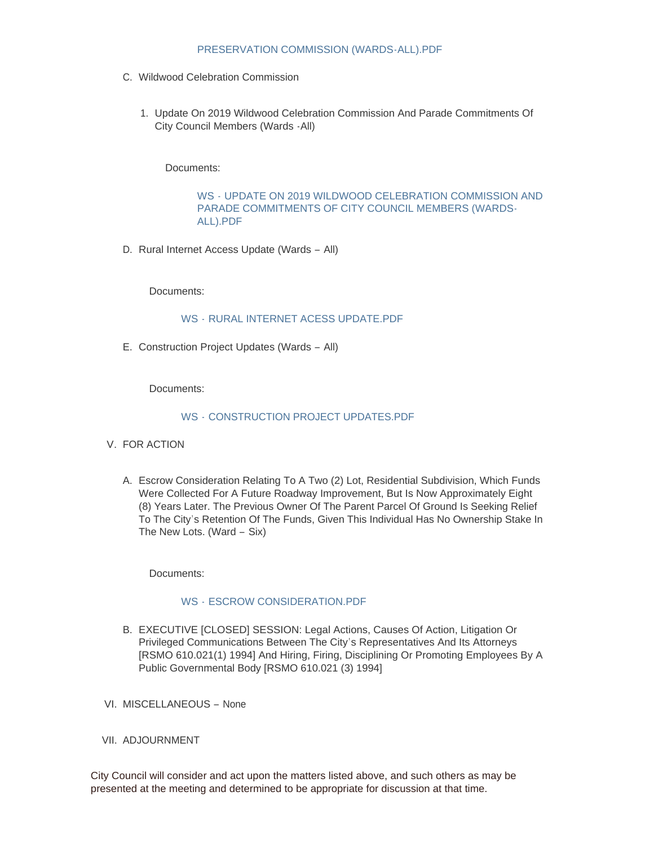## PRESERVATION COMMISSION (WARDS-ALL).PDF

- C. Wildwood Celebration Commission
	- 1. Update On 2019 Wildwood Celebration Commission And Parade Commitments Of City Council Members (Wards -All)

Documents:

WS - [UPDATE ON 2019 WILDWOOD CELEBRATION COMMISSION AND](https://www.cityofwildwood.com/AgendaCenter/ViewFile/Item/21502?fileID=27006)  PARADE COMMITMENTS OF CITY COUNCIL MEMBERS (WARDS-ALL).PDF

D. Rural Internet Access Update (Wards - All)

Documents:

#### WS - [RURAL INTERNET ACESS UPDATE.PDF](https://www.cityofwildwood.com/AgendaCenter/ViewFile/Item/21504?fileID=27025)

E. Construction Project Updates (Wards - All)

Documents:

#### WS - [CONSTRUCTION PROJECT UPDATES.PDF](https://www.cityofwildwood.com/AgendaCenter/ViewFile/Item/21505?fileID=26997)

- V. FOR ACTION
	- A. Escrow Consideration Relating To A Two (2) Lot, Residential Subdivision, Which Funds Were Collected For A Future Roadway Improvement, But Is Now Approximately Eight (8) Years Later. The Previous Owner Of The Parent Parcel Of Ground Is Seeking Relief To The City's Retention Of The Funds, Given This Individual Has No Ownership Stake In The New Lots. (Ward – Six)

Documents:

#### WS - ESCROW CONSIDERATION PDF

- B. EXECUTIVE [CLOSED] SESSION: Legal Actions, Causes Of Action, Litigation Or Privileged Communications Between The City's Representatives And Its Attorneys [RSMO 610.021(1) 1994] And Hiring, Firing, Disciplining Or Promoting Employees By A Public Governmental Body [RSMO 610.021 (3) 1994]
- VI. MISCELLANEOUS None
- VII. ADJOURNMENT

City Council will consider and act upon the matters listed above, and such others as may be presented at the meeting and determined to be appropriate for discussion at that time.